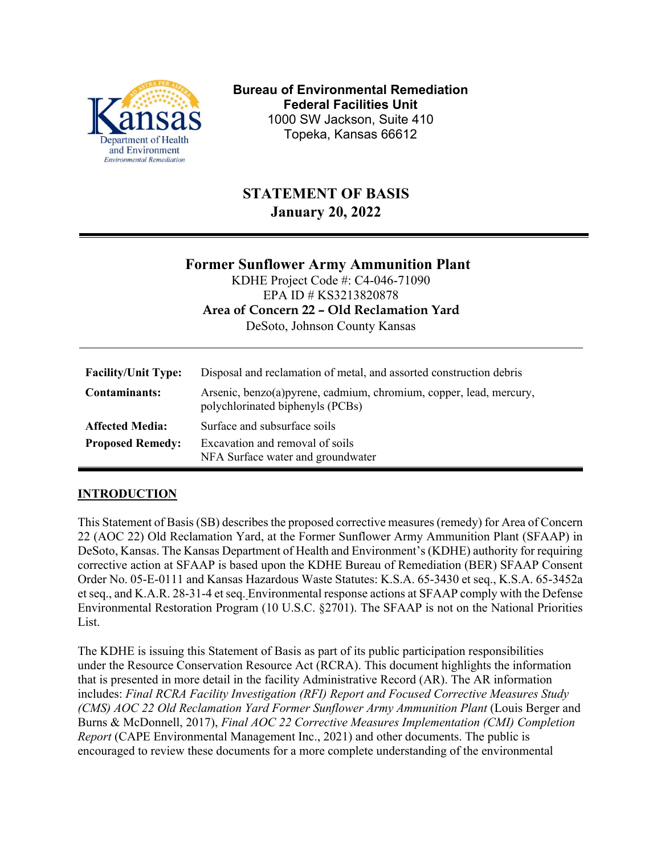

**Bureau of Environmental Remediation Federal Facilities Unit** 1000 SW Jackson, Suite 410 Topeka, Kansas 66612

# **STATEMENT OF BASIS January 20, 2022**

|                            | <b>Former Sunflower Army Ammunition Plant</b><br>KDHE Project Code #: C4-046-71090                      |
|----------------------------|---------------------------------------------------------------------------------------------------------|
|                            | EPA ID # KS3213820878<br>Area of Concern 22 - Old Reclamation Yard                                      |
|                            | DeSoto, Johnson County Kansas                                                                           |
| <b>Facility/Unit Type:</b> | Disposal and reclamation of metal, and assorted construction debris                                     |
| Contaminants:              | Arsenic, benzo(a) pyrene, cadmium, chromium, copper, lead, mercury,<br>polychlorinated biphenyls (PCBs) |
| <b>Affected Media:</b>     | Surface and subsurface soils                                                                            |
| <b>Proposed Remedy:</b>    | Excavation and removal of soils<br>NFA Surface water and groundwater                                    |

#### **INTRODUCTION**

This Statement of Basis (SB) describes the proposed corrective measures (remedy) for Area of Concern 22 (AOC 22) Old Reclamation Yard, at the Former Sunflower Army Ammunition Plant (SFAAP) in DeSoto, Kansas. The Kansas Department of Health and Environment's (KDHE) authority for requiring corrective action at SFAAP is based upon the KDHE Bureau of Remediation (BER) SFAAP Consent Order No. 05-E-0111 and Kansas Hazardous Waste Statutes: K.S.A. 65-3430 et seq., K.S.A. 65-3452a et seq., and K.A.R. 28-31-4 et seq. Environmental response actions at SFAAP comply with the Defense Environmental Restoration Program (10 U.S.C. §2701). The SFAAP is not on the National Priorities List.

The KDHE is issuing this Statement of Basis as part of its public participation responsibilities under the Resource Conservation Resource Act (RCRA). This document highlights the information that is presented in more detail in the facility Administrative Record (AR). The AR information includes: *Final RCRA Facility Investigation (RFI) Report and Focused Corrective Measures Study (CMS) AOC 22 Old Reclamation Yard Former Sunflower Army Ammunition Plant* (Louis Berger and Burns & McDonnell, 2017), *Final AOC 22 Corrective Measures Implementation (CMI) Completion Report* (CAPE Environmental Management Inc., 2021) and other documents. The public is encouraged to review these documents for a more complete understanding of the environmental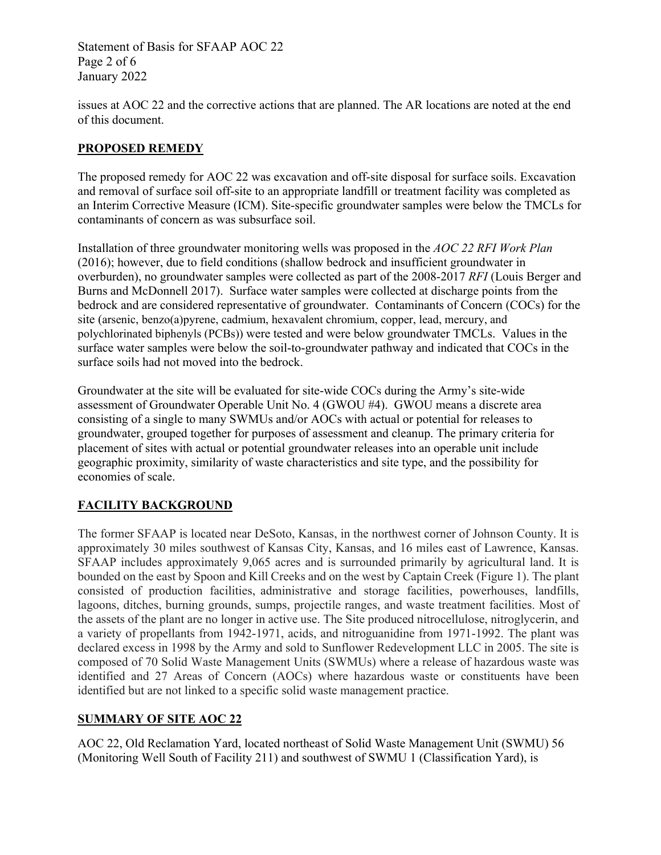Statement of Basis for SFAAP AOC 22 Page 2 of 6 January 2022

issues at AOC 22 and the corrective actions that are planned. The AR locations are noted at the end of this document.

## **PROPOSED REMEDY**

The proposed remedy for AOC 22 was excavation and off-site disposal for surface soils. Excavation and removal of surface soil off-site to an appropriate landfill or treatment facility was completed as an Interim Corrective Measure (ICM). Site-specific groundwater samples were below the TMCLs for contaminants of concern as was subsurface soil.

Installation of three groundwater monitoring wells was proposed in the *AOC 22 RFI Work Plan* (2016); however, due to field conditions (shallow bedrock and insufficient groundwater in overburden), no groundwater samples were collected as part of the 2008-2017 *RFI* (Louis Berger and Burns and McDonnell 2017). Surface water samples were collected at discharge points from the bedrock and are considered representative of groundwater. Contaminants of Concern (COCs) for the site (arsenic, benzo(a)pyrene, cadmium, hexavalent chromium, copper, lead, mercury, and polychlorinated biphenyls (PCBs)) were tested and were below groundwater TMCLs. Values in the surface water samples were below the soil-to-groundwater pathway and indicated that COCs in the surface soils had not moved into the bedrock.

Groundwater at the site will be evaluated for site-wide COCs during the Army's site-wide assessment of Groundwater Operable Unit No. 4 (GWOU #4). GWOU means a discrete area consisting of a single to many SWMUs and/or AOCs with actual or potential for releases to groundwater, grouped together for purposes of assessment and cleanup. The primary criteria for placement of sites with actual or potential groundwater releases into an operable unit include geographic proximity, similarity of waste characteristics and site type, and the possibility for economies of scale.

## **FACILITY BACKGROUND**

The former SFAAP is located near DeSoto, Kansas, in the northwest corner of Johnson County. It is approximately 30 miles southwest of Kansas City, Kansas, and 16 miles east of Lawrence, Kansas. SFAAP includes approximately 9,065 acres and is surrounded primarily by agricultural land. It is bounded on the east by Spoon and Kill Creeks and on the west by Captain Creek (Figure 1). The plant consisted of production facilities, administrative and storage facilities, powerhouses, landfills, lagoons, ditches, burning grounds, sumps, projectile ranges, and waste treatment facilities. Most of the assets of the plant are no longer in active use. The Site produced nitrocellulose, nitroglycerin, and a variety of propellants from 1942-1971, acids, and nitroguanidine from 1971-1992. The plant was declared excess in 1998 by the Army and sold to Sunflower Redevelopment LLC in 2005. The site is composed of 70 Solid Waste Management Units (SWMUs) where a release of hazardous waste was identified and 27 Areas of Concern (AOCs) where hazardous waste or constituents have been identified but are not linked to a specific solid waste management practice.

## **SUMMARY OF SITE AOC 22**

AOC 22, Old Reclamation Yard, located northeast of Solid Waste Management Unit (SWMU) 56 (Monitoring Well South of Facility 211) and southwest of SWMU 1 (Classification Yard), is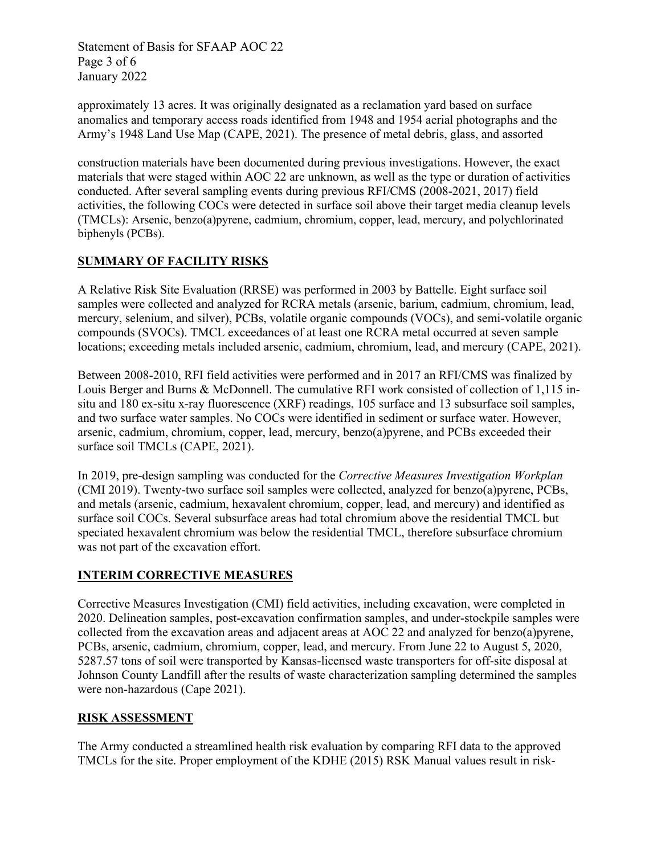Statement of Basis for SFAAP AOC 22 Page 3 of 6 January 2022

approximately 13 acres. It was originally designated as a reclamation yard based on surface anomalies and temporary access roads identified from 1948 and 1954 aerial photographs and the Army's 1948 Land Use Map (CAPE, 2021). The presence of metal debris, glass, and assorted

construction materials have been documented during previous investigations. However, the exact materials that were staged within AOC 22 are unknown, as well as the type or duration of activities conducted. After several sampling events during previous RFI/CMS (2008-2021, 2017) field activities, the following COCs were detected in surface soil above their target media cleanup levels (TMCLs): Arsenic, benzo(a)pyrene, cadmium, chromium, copper, lead, mercury, and polychlorinated biphenyls (PCBs).

# **SUMMARY OF FACILITY RISKS**

A Relative Risk Site Evaluation (RRSE) was performed in 2003 by Battelle. Eight surface soil samples were collected and analyzed for RCRA metals (arsenic, barium, cadmium, chromium, lead, mercury, selenium, and silver), PCBs, volatile organic compounds (VOCs), and semi-volatile organic compounds (SVOCs). TMCL exceedances of at least one RCRA metal occurred at seven sample locations; exceeding metals included arsenic, cadmium, chromium, lead, and mercury (CAPE, 2021).

Between 2008-2010, RFI field activities were performed and in 2017 an RFI/CMS was finalized by Louis Berger and Burns & McDonnell. The cumulative RFI work consisted of collection of 1,115 insitu and 180 ex-situ x-ray fluorescence (XRF) readings, 105 surface and 13 subsurface soil samples, and two surface water samples. No COCs were identified in sediment or surface water. However, arsenic, cadmium, chromium, copper, lead, mercury, benzo(a)pyrene, and PCBs exceeded their surface soil TMCLs (CAPE, 2021).

In 2019, pre-design sampling was conducted for the *Corrective Measures Investigation Workplan* (CMI 2019). Twenty-two surface soil samples were collected, analyzed for benzo(a)pyrene, PCBs, and metals (arsenic, cadmium, hexavalent chromium, copper, lead, and mercury) and identified as surface soil COCs. Several subsurface areas had total chromium above the residential TMCL but speciated hexavalent chromium was below the residential TMCL, therefore subsurface chromium was not part of the excavation effort.

#### **INTERIM CORRECTIVE MEASURES**

Corrective Measures Investigation (CMI) field activities, including excavation, were completed in 2020. Delineation samples, post-excavation confirmation samples, and under-stockpile samples were collected from the excavation areas and adjacent areas at AOC 22 and analyzed for benzo(a)pyrene, PCBs, arsenic, cadmium, chromium, copper, lead, and mercury. From June 22 to August 5, 2020, 5287.57 tons of soil were transported by Kansas-licensed waste transporters for off-site disposal at Johnson County Landfill after the results of waste characterization sampling determined the samples were non-hazardous (Cape 2021).

#### **RISK ASSESSMENT**

The Army conducted a streamlined health risk evaluation by comparing RFI data to the approved TMCLs for the site. Proper employment of the KDHE (2015) RSK Manual values result in risk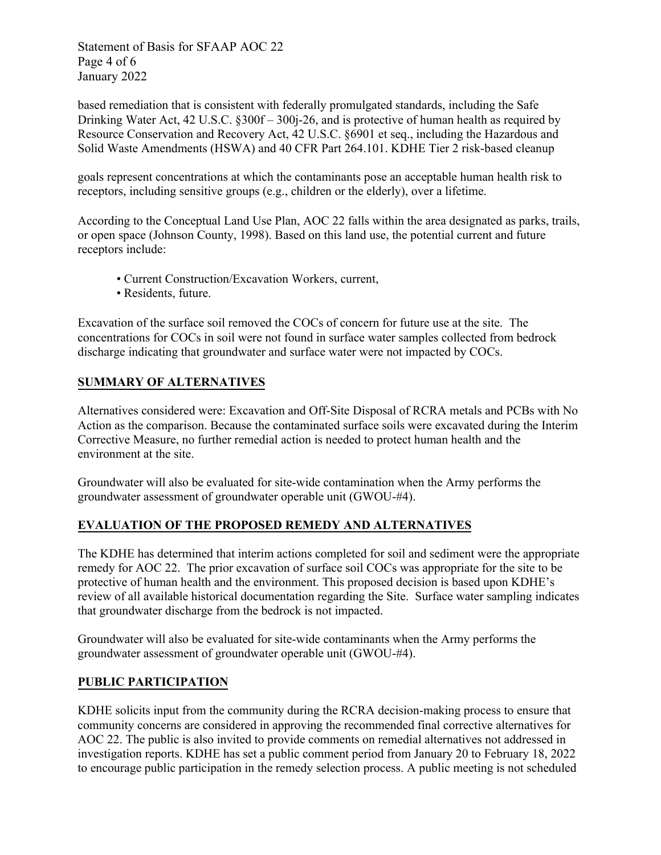Statement of Basis for SFAAP AOC 22 Page 4 of 6 January 2022

based remediation that is consistent with federally promulgated standards, including the Safe Drinking Water Act, 42 U.S.C. §300f – 300j-26, and is protective of human health as required by Resource Conservation and Recovery Act, 42 U.S.C. §6901 et seq., including the Hazardous and Solid Waste Amendments (HSWA) and 40 CFR Part 264.101. KDHE Tier 2 risk-based cleanup

goals represent concentrations at which the contaminants pose an acceptable human health risk to receptors, including sensitive groups (e.g., children or the elderly), over a lifetime.

According to the Conceptual Land Use Plan, AOC 22 falls within the area designated as parks, trails, or open space (Johnson County, 1998). Based on this land use, the potential current and future receptors include:

- Current Construction/Excavation Workers, current,
- Residents, future.

Excavation of the surface soil removed the COCs of concern for future use at the site. The concentrations for COCs in soil were not found in surface water samples collected from bedrock discharge indicating that groundwater and surface water were not impacted by COCs.

## **SUMMARY OF ALTERNATIVES**

Alternatives considered were: Excavation and Off-Site Disposal of RCRA metals and PCBs with No Action as the comparison. Because the contaminated surface soils were excavated during the Interim Corrective Measure, no further remedial action is needed to protect human health and the environment at the site.

Groundwater will also be evaluated for site-wide contamination when the Army performs the groundwater assessment of groundwater operable unit (GWOU-#4).

## **EVALUATION OF THE PROPOSED REMEDY AND ALTERNATIVES**

The KDHE has determined that interim actions completed for soil and sediment were the appropriate remedy for AOC 22. The prior excavation of surface soil COCs was appropriate for the site to be protective of human health and the environment. This proposed decision is based upon KDHE's review of all available historical documentation regarding the Site. Surface water sampling indicates that groundwater discharge from the bedrock is not impacted.

Groundwater will also be evaluated for site-wide contaminants when the Army performs the groundwater assessment of groundwater operable unit (GWOU-#4).

#### **PUBLIC PARTICIPATION**

KDHE solicits input from the community during the RCRA decision-making process to ensure that community concerns are considered in approving the recommended final corrective alternatives for AOC 22. The public is also invited to provide comments on remedial alternatives not addressed in investigation reports. KDHE has set a public comment period from January 20 to February 18, 2022 to encourage public participation in the remedy selection process. A public meeting is not scheduled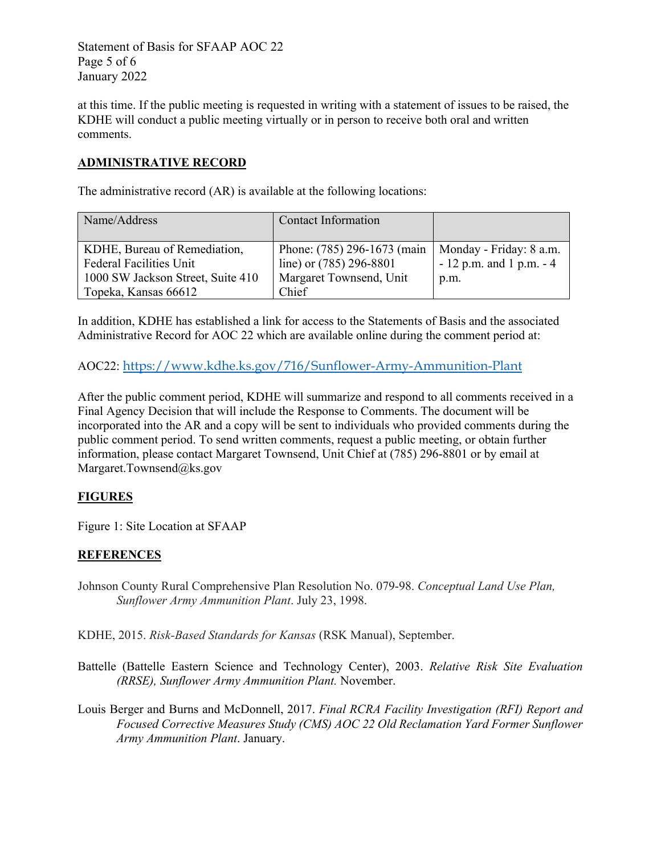Statement of Basis for SFAAP AOC 22 Page 5 of 6 January 2022

at this time. If the public meeting is requested in writing with a statement of issues to be raised, the KDHE will conduct a public meeting virtually or in person to receive both oral and written comments.

## **ADMINISTRATIVE RECORD**

The administrative record (AR) is available at the following locations:

| Name/Address                      | <b>Contact Information</b>  |                            |
|-----------------------------------|-----------------------------|----------------------------|
|                                   |                             |                            |
| KDHE, Bureau of Remediation,      | Phone: (785) 296-1673 (main | Monday - Friday: 8 a.m.    |
| <b>Federal Facilities Unit</b>    | line) or (785) 296-8801     | $-12$ p.m. and 1 p.m. $-4$ |
| 1000 SW Jackson Street, Suite 410 | Margaret Townsend, Unit     | p.m.                       |
| Topeka, Kansas 66612              | Chief                       |                            |

In addition, KDHE has established a link for access to the Statements of Basis and the associated Administrative Record for AOC 22 which are available online during the comment period at:

AOC22: [https://www.kdhe.ks.gov/716/Sunflower-Army-Ammunition-Plant](https://gcc02.safelinks.protection.outlook.com/?url=https%3A%2F%2Fwww.kdhe.ks.gov%2F716%2FSunflower-Army-Ammunition-Plant&data=04%7C01%7CMargaret.Townsend%40ks.gov%7C0846474e50f74364321708d9daaabfcc%7Cdcae8101c92d480cbc43c6761ccccc5a%7C0%7C0%7C637781249154348463%7CUnknown%7CTWFpbGZsb3d8eyJWIjoiMC4wLjAwMDAiLCJQIjoiV2luMzIiLCJBTiI6Ik1haWwiLCJXVCI6Mn0%3D%7C3000&sdata=DEgyi1NscZE03ODyN4bH0pJ0eaUcggDVmB5vrlCOhyg%3D&reserved=0)

After the public comment period, KDHE will summarize and respond to all comments received in a Final Agency Decision that will include the Response to Comments. The document will be incorporated into the AR and a copy will be sent to individuals who provided comments during the public comment period. To send written comments, request a public meeting, or obtain further information, please contact Margaret Townsend, Unit Chief at (785) 296-8801 or by email at Margaret.Townsend@ks.gov

#### **FIGURES**

Figure 1: Site Location at SFAAP

## **REFERENCES**

Johnson County Rural Comprehensive Plan Resolution No. 079-98. *Conceptual Land Use Plan, Sunflower Army Ammunition Plant*. July 23, 1998.

KDHE, 2015. *Risk-Based Standards for Kansas* (RSK Manual), September.

- Battelle (Battelle Eastern Science and Technology Center), 2003. *Relative Risk Site Evaluation (RRSE), Sunflower Army Ammunition Plant.* November.
- Louis Berger and Burns and McDonnell, 2017. *Final RCRA Facility Investigation (RFI) Report and Focused Corrective Measures Study (CMS) AOC 22 Old Reclamation Yard Former Sunflower Army Ammunition Plant*. January.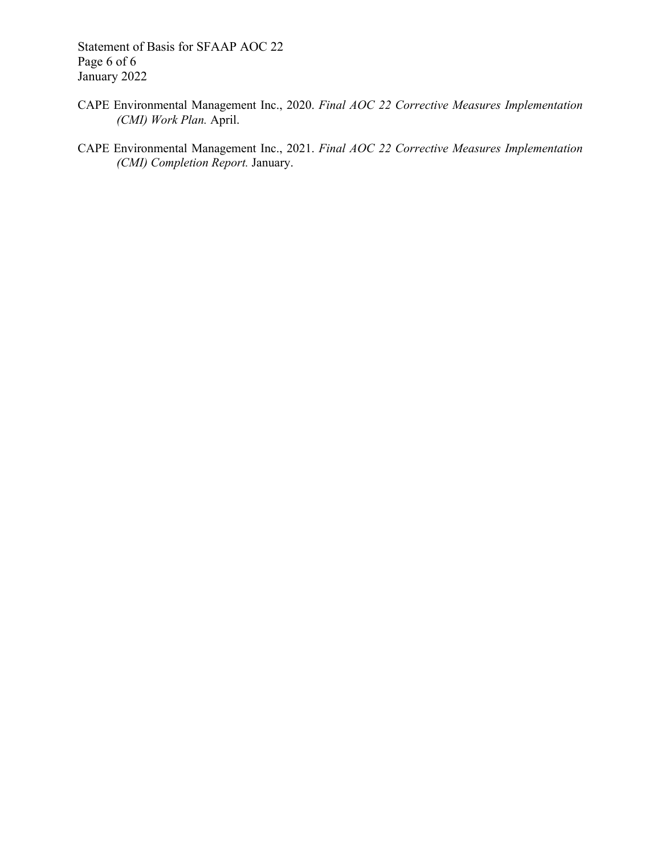Statement of Basis for SFAAP AOC 22 Page 6 of 6 January 2022

- CAPE Environmental Management Inc., 2020. *Final AOC 22 Corrective Measures Implementation (CMI) Work Plan.* April.
- CAPE Environmental Management Inc., 2021. *Final AOC 22 Corrective Measures Implementation (CMI) Completion Report.* January.